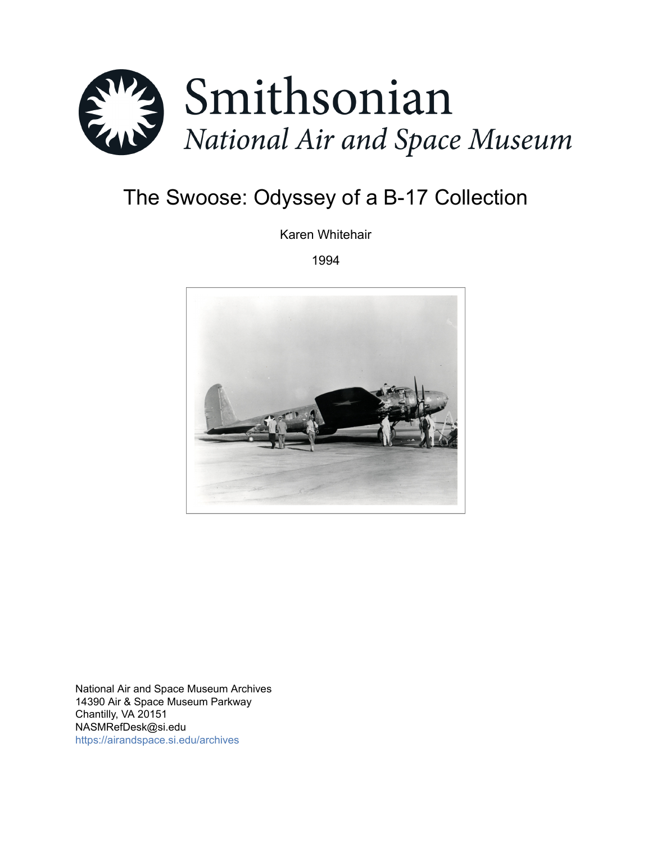

# The Swoose: Odyssey of a B-17 Collection

Karen Whitehair

1994



National Air and Space Museum Archives 14390 Air & Space Museum Parkway Chantilly, VA 20151 NASMRefDesk@si.edu <https://airandspace.si.edu/archives>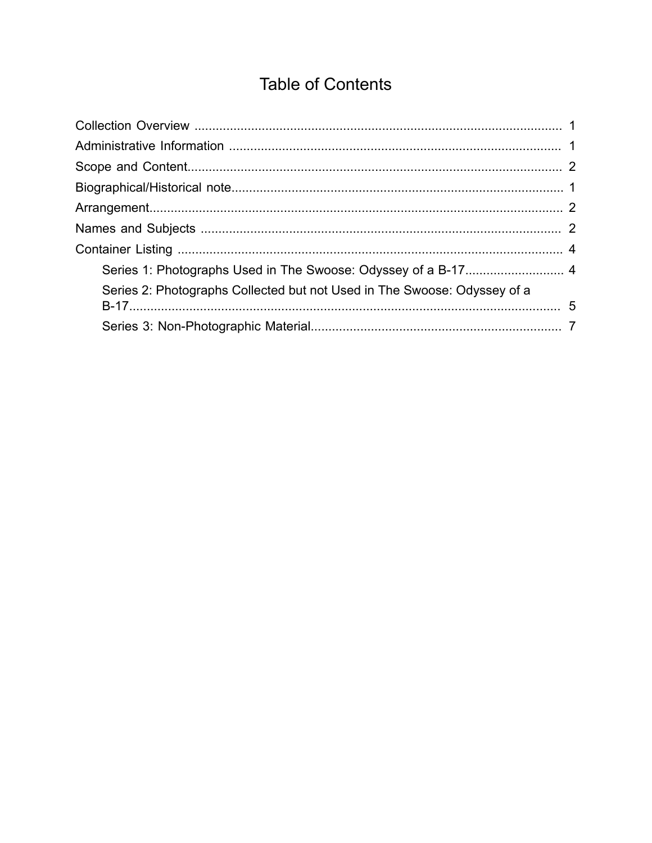## **Table of Contents**

<span id="page-1-0"></span>

| Series 2: Photographs Collected but not Used in The Swoose: Odyssey of a |  |  |  |
|--------------------------------------------------------------------------|--|--|--|
|                                                                          |  |  |  |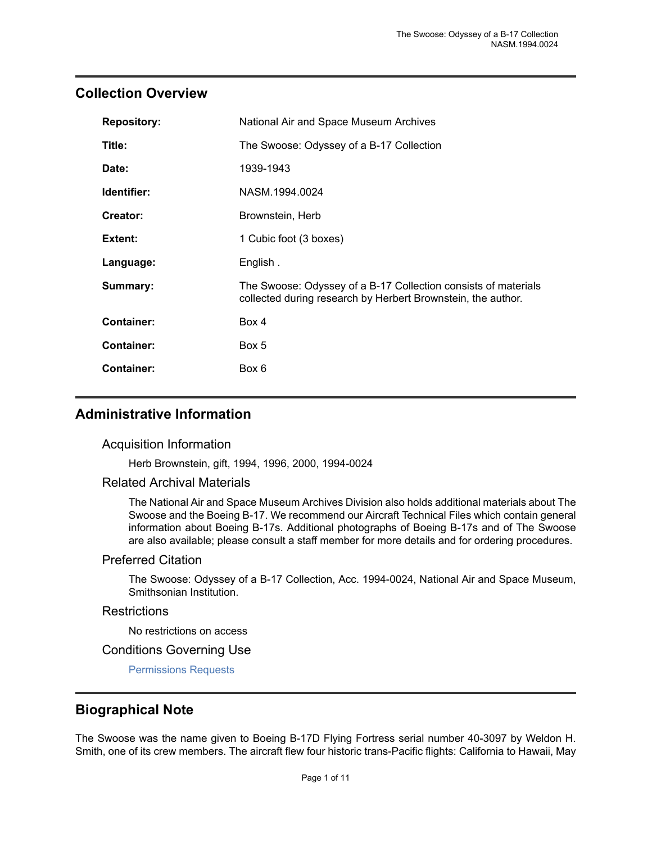## <span id="page-2-0"></span>**Collection Overview**

| <b>Repository:</b>                | National Air and Space Museum Archives                                                                                         |  |  |
|-----------------------------------|--------------------------------------------------------------------------------------------------------------------------------|--|--|
| Title:                            | The Swoose: Odyssey of a B-17 Collection                                                                                       |  |  |
| Date:                             | 1939-1943                                                                                                                      |  |  |
| Identifier:                       | NASM.1994.0024                                                                                                                 |  |  |
| Creator:                          | Brownstein, Herb                                                                                                               |  |  |
| 1 Cubic foot (3 boxes)<br>Extent: |                                                                                                                                |  |  |
| Language:                         | English.                                                                                                                       |  |  |
| Summary:                          | The Swoose: Odyssey of a B-17 Collection consists of materials<br>collected during research by Herbert Brownstein, the author. |  |  |
| <b>Container:</b>                 | Box 4                                                                                                                          |  |  |
| <b>Container:</b>                 | Box 5                                                                                                                          |  |  |
| <b>Container:</b><br>Box 6        |                                                                                                                                |  |  |

## <span id="page-2-1"></span>**Administrative Information**

#### Acquisition Information

Herb Brownstein, gift, 1994, 1996, 2000, 1994-0024

#### Related Archival Materials

The National Air and Space Museum Archives Division also holds additional materials about The Swoose and the Boeing B-17. We recommend our Aircraft Technical Files which contain general information about Boeing B-17s. Additional photographs of Boeing B-17s and of The Swoose are also available; please consult a staff member for more details and for ordering procedures.

#### Preferred Citation

The Swoose: Odyssey of a B-17 Collection, Acc. 1994-0024, National Air and Space Museum, Smithsonian Institution.

#### **Restrictions**

No restrictions on access

#### Conditions Governing Use

[Permissions Requests](http://airandspace.si.edu/research/arch/permissions.cfm)

## <span id="page-2-2"></span>**Biographical Note**

The Swoose was the name given to Boeing B-17D Flying Fortress serial number 40-3097 by Weldon H. Smith, one of its crew members. The aircraft flew four historic trans-Pacific flights: California to Hawaii, May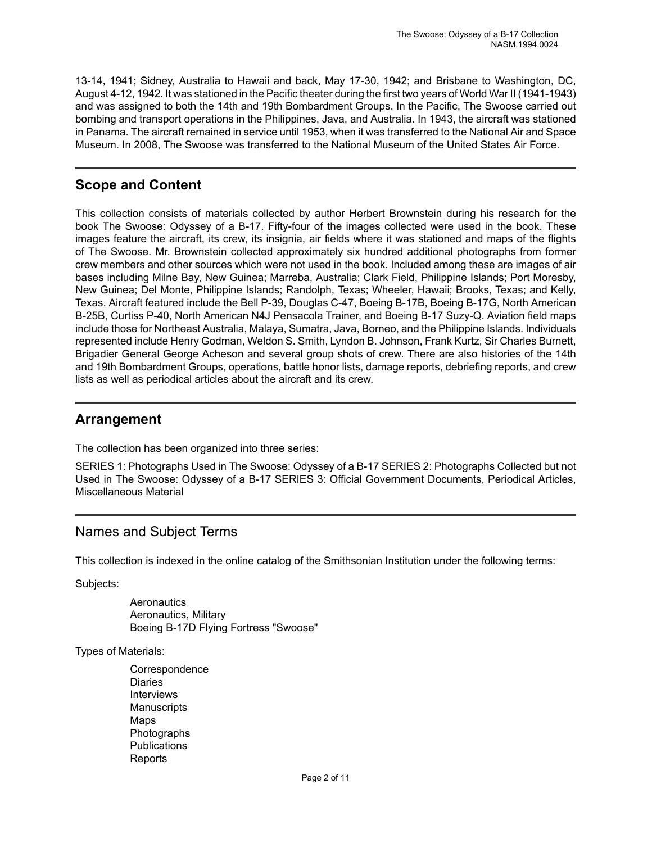13-14, 1941; Sidney, Australia to Hawaii and back, May 17-30, 1942; and Brisbane to Washington, DC, August 4-12, 1942. It was stationed in the Pacific theater during the first two years of World War II (1941-1943) and was assigned to both the 14th and 19th Bombardment Groups. In the Pacific, The Swoose carried out bombing and transport operations in the Philippines, Java, and Australia. In 1943, the aircraft was stationed in Panama. The aircraft remained in service until 1953, when it was transferred to the National Air and Space Museum. In 2008, The Swoose was transferred to the National Museum of the United States Air Force.

## <span id="page-3-0"></span>**Scope and Content**

This collection consists of materials collected by author Herbert Brownstein during his research for the book The Swoose: Odyssey of a B-17. Fifty-four of the images collected were used in the book. These images feature the aircraft, its crew, its insignia, air fields where it was stationed and maps of the flights of The Swoose. Mr. Brownstein collected approximately six hundred additional photographs from former crew members and other sources which were not used in the book. Included among these are images of air bases including Milne Bay, New Guinea; Marreba, Australia; Clark Field, Philippine Islands; Port Moresby, New Guinea; Del Monte, Philippine Islands; Randolph, Texas; Wheeler, Hawaii; Brooks, Texas; and Kelly, Texas. Aircraft featured include the Bell P-39, Douglas C-47, Boeing B-17B, Boeing B-17G, North American B-25B, Curtiss P-40, North American N4J Pensacola Trainer, and Boeing B-17 Suzy-Q. Aviation field maps include those for Northeast Australia, Malaya, Sumatra, Java, Borneo, and the Philippine Islands. Individuals represented include Henry Godman, Weldon S. Smith, Lyndon B. Johnson, Frank Kurtz, Sir Charles Burnett, Brigadier General George Acheson and several group shots of crew. There are also histories of the 14th and 19th Bombardment Groups, operations, battle honor lists, damage reports, debriefing reports, and crew lists as well as periodical articles about the aircraft and its crew.

## <span id="page-3-1"></span>**Arrangement**

The collection has been organized into three series:

SERIES 1: Photographs Used in The Swoose: Odyssey of a B-17 SERIES 2: Photographs Collected but not Used in The Swoose: Odyssey of a B-17 SERIES 3: Official Government Documents, Periodical Articles, Miscellaneous Material

## <span id="page-3-2"></span>Names and Subject Terms

This collection is indexed in the online catalog of the Smithsonian Institution under the following terms:

Subjects:

**Aeronautics** Aeronautics, Military Boeing B-17D Flying Fortress "Swoose"

Types of Materials:

**Correspondence** Diaries **Interviews Manuscripts** Maps Photographs **Publications** Reports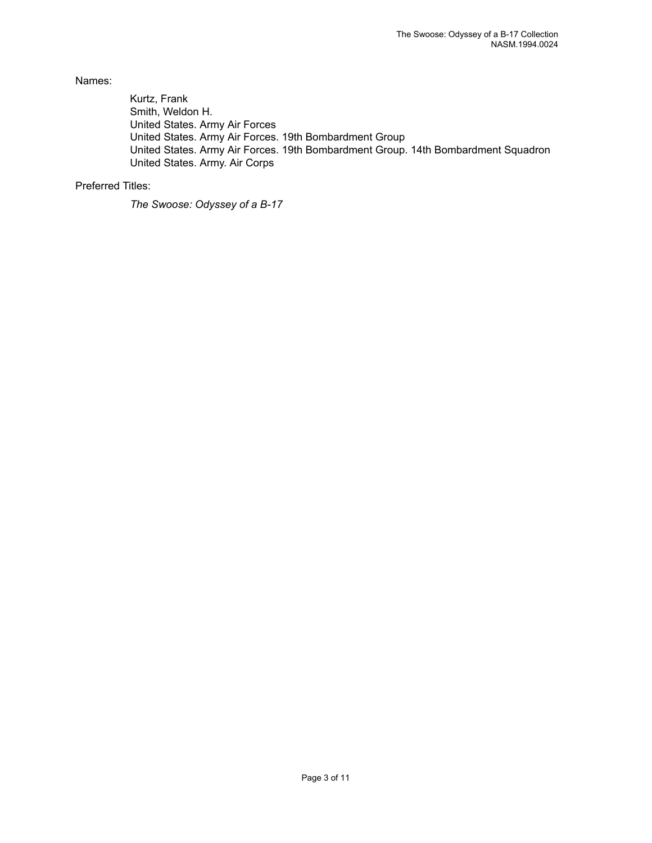Names:

Kurtz, Frank Smith, Weldon H. United States. Army Air Forces United States. Army Air Forces. 19th Bombardment Group United States. Army Air Forces. 19th Bombardment Group. 14th Bombardment Squadron United States. Army. Air Corps

#### Preferred Titles:

*The Swoose: Odyssey of a B-17*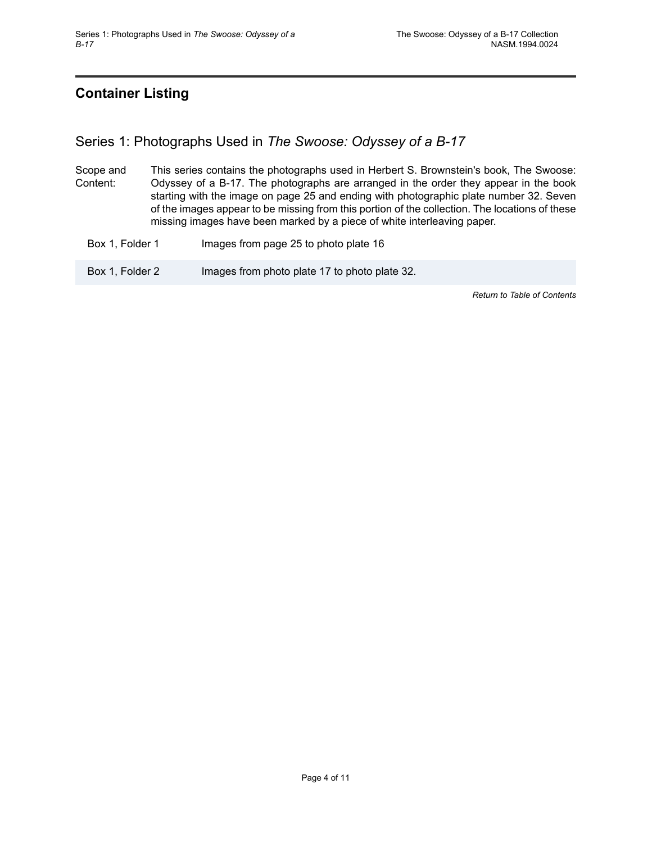## <span id="page-5-0"></span>**Container Listing**

## <span id="page-5-1"></span>Series 1: Photographs Used in *The Swoose: Odyssey of a B-17*

- Scope and Content: This series contains the photographs used in Herbert S. Brownstein's book, The Swoose: Odyssey of a B-17. The photographs are arranged in the order they appear in the book starting with the image on page 25 and ending with photographic plate number 32. Seven of the images appear to be missing from this portion of the collection. The locations of these missing images have been marked by a piece of white interleaving paper.
	- Box 1, Folder 1 **Images from page 25 to photo plate 16**

Box 1, Folder 2 **Images from photo plate 17 to photo plate 32.** 

*Return to Table of [Contents](#page-1-0)*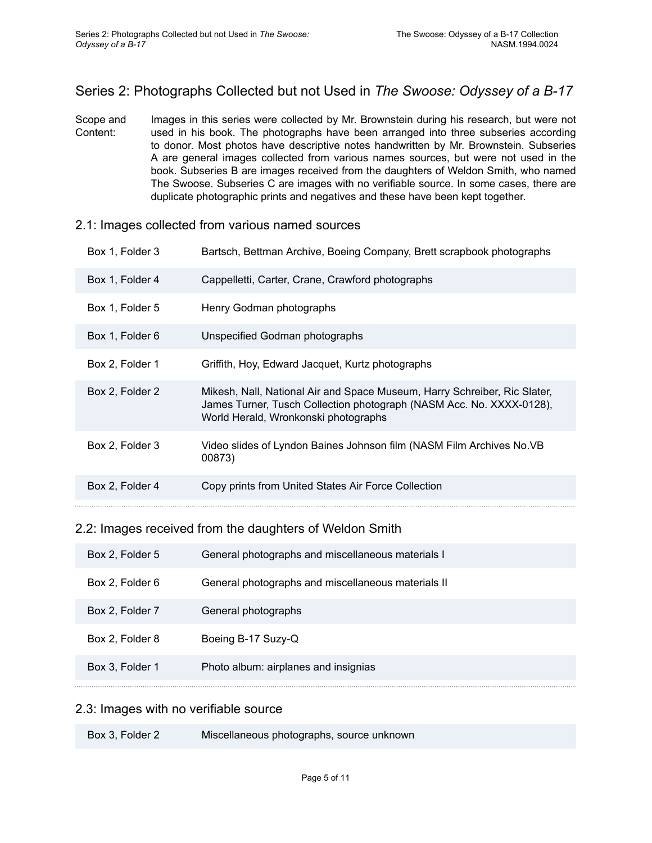## <span id="page-6-0"></span>Series 2: Photographs Collected but not Used in *The Swoose: Odyssey of a B-17*

Scope and Content: Images in this series were collected by Mr. Brownstein during his research, but were not used in his book. The photographs have been arranged into three subseries according to donor. Most photos have descriptive notes handwritten by Mr. Brownstein. Subseries A are general images collected from various names sources, but were not used in the book. Subseries B are images received from the daughters of Weldon Smith, who named The Swoose. Subseries C are images with no verifiable source. In some cases, there are duplicate photographic prints and negatives and these have been kept together.

| 2.1: Images collected from various named sources |  |
|--------------------------------------------------|--|
|--------------------------------------------------|--|

| Box 1, Folder 3 | Bartsch, Bettman Archive, Boeing Company, Brett scrapbook photographs                                                                                                                     |  |  |
|-----------------|-------------------------------------------------------------------------------------------------------------------------------------------------------------------------------------------|--|--|
| Box 1, Folder 4 | Cappelletti, Carter, Crane, Crawford photographs                                                                                                                                          |  |  |
| Box 1, Folder 5 | Henry Godman photographs                                                                                                                                                                  |  |  |
| Box 1, Folder 6 | Unspecified Godman photographs                                                                                                                                                            |  |  |
| Box 2, Folder 1 | Griffith, Hoy, Edward Jacquet, Kurtz photographs                                                                                                                                          |  |  |
| Box 2, Folder 2 | Mikesh, Nall, National Air and Space Museum, Harry Schreiber, Ric Slater,<br>James Turner, Tusch Collection photograph (NASM Acc. No. XXXX-0128),<br>World Herald, Wronkonski photographs |  |  |
| Box 2, Folder 3 | Video slides of Lyndon Baines Johnson film (NASM Film Archives No.VB<br>00873)                                                                                                            |  |  |
| Box 2, Folder 4 | Copy prints from United States Air Force Collection                                                                                                                                       |  |  |

#### 2.2: Images received from the daughters of Weldon Smith

| Box 2, Folder 5 | General photographs and miscellaneous materials I  |
|-----------------|----------------------------------------------------|
| Box 2, Folder 6 | General photographs and miscellaneous materials II |
| Box 2, Folder 7 | General photographs                                |
| Box 2, Folder 8 | Boeing B-17 Suzy-Q                                 |
| Box 3, Folder 1 | Photo album: airplanes and insignias               |

#### 2.3: Images with no verifiable source

| Miscellaneous photographs, source unknown<br>Box 3, Folder 2 |  |
|--------------------------------------------------------------|--|
|--------------------------------------------------------------|--|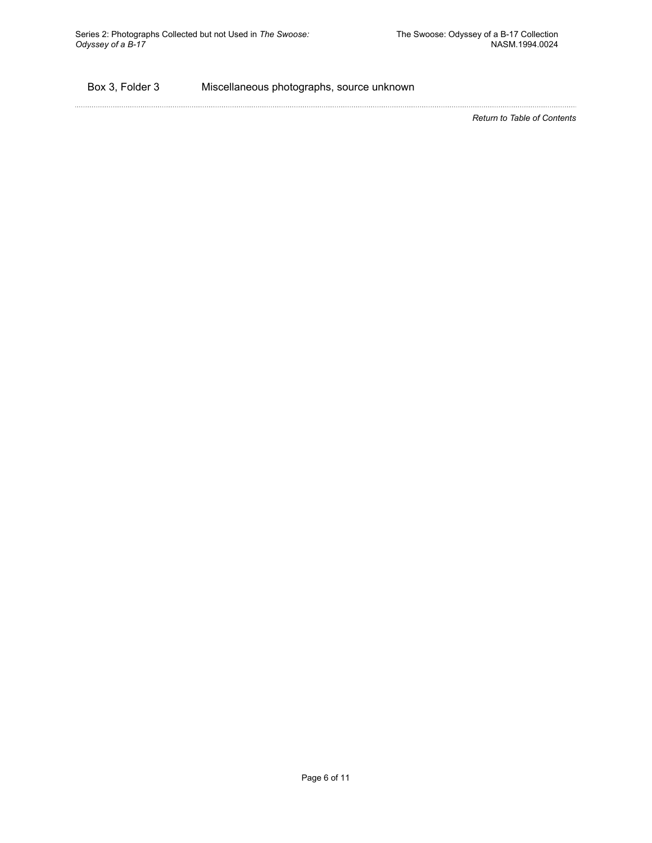#### Box 3, Folder 3 Miscellaneous photographs, source unknown

*Return to Table of [Contents](#page-1-0)*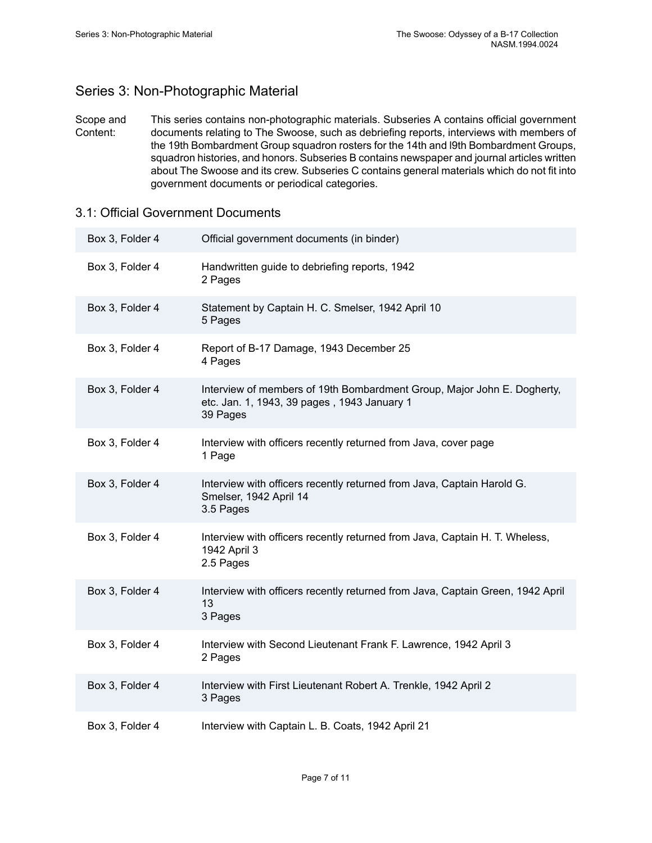## <span id="page-8-0"></span>Series 3: Non-Photographic Material

Scope and Content: This series contains non-photographic materials. Subseries A contains official government documents relating to The Swoose, such as debriefing reports, interviews with members of the 19th Bombardment Group squadron rosters for the 14th and l9th Bombardment Groups, squadron histories, and honors. Subseries B contains newspaper and journal articles written about The Swoose and its crew. Subseries C contains general materials which do not fit into government documents or periodical categories.

#### 3.1: Official Government Documents

| Box 3, Folder 4 | Official government documents (in binder)                                                                                          |  |  |
|-----------------|------------------------------------------------------------------------------------------------------------------------------------|--|--|
| Box 3, Folder 4 | Handwritten guide to debriefing reports, 1942<br>2 Pages                                                                           |  |  |
| Box 3, Folder 4 | Statement by Captain H. C. Smelser, 1942 April 10<br>5 Pages                                                                       |  |  |
| Box 3, Folder 4 | Report of B-17 Damage, 1943 December 25<br>4 Pages                                                                                 |  |  |
| Box 3, Folder 4 | Interview of members of 19th Bombardment Group, Major John E. Dogherty,<br>etc. Jan. 1, 1943, 39 pages, 1943 January 1<br>39 Pages |  |  |
| Box 3, Folder 4 | Interview with officers recently returned from Java, cover page<br>1 Page                                                          |  |  |
| Box 3, Folder 4 | Interview with officers recently returned from Java, Captain Harold G.<br>Smelser, 1942 April 14<br>3.5 Pages                      |  |  |
| Box 3, Folder 4 | Interview with officers recently returned from Java, Captain H. T. Wheless,<br>1942 April 3<br>2.5 Pages                           |  |  |
| Box 3, Folder 4 | Interview with officers recently returned from Java, Captain Green, 1942 April<br>13<br>3 Pages                                    |  |  |
| Box 3, Folder 4 | Interview with Second Lieutenant Frank F. Lawrence, 1942 April 3<br>2 Pages                                                        |  |  |
| Box 3, Folder 4 | Interview with First Lieutenant Robert A. Trenkle, 1942 April 2<br>3 Pages                                                         |  |  |
| Box 3, Folder 4 | Interview with Captain L. B. Coats, 1942 April 21                                                                                  |  |  |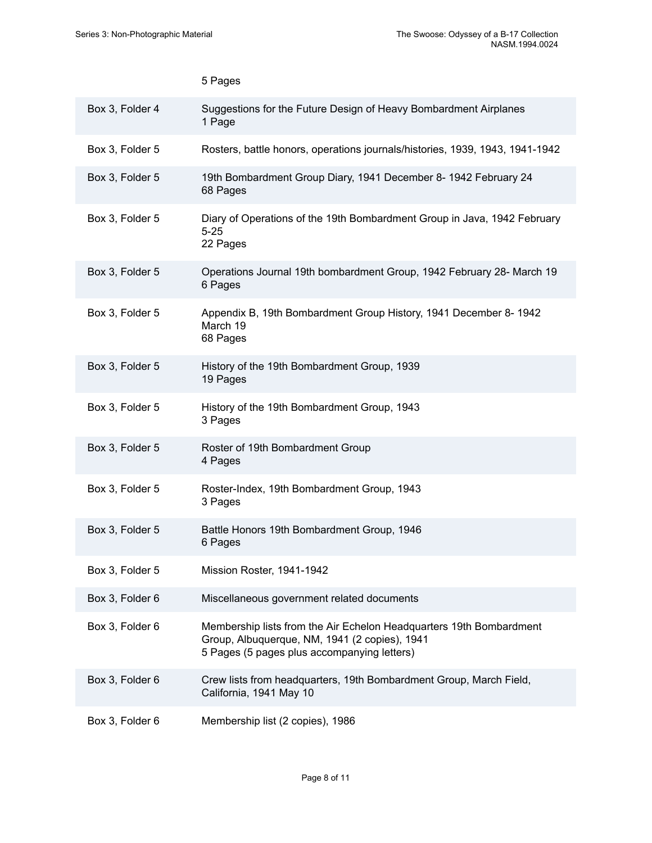|                 | 5 Pages                                                                                                                                                             |
|-----------------|---------------------------------------------------------------------------------------------------------------------------------------------------------------------|
| Box 3, Folder 4 | Suggestions for the Future Design of Heavy Bombardment Airplanes<br>1 Page                                                                                          |
| Box 3, Folder 5 | Rosters, battle honors, operations journals/histories, 1939, 1943, 1941-1942                                                                                        |
| Box 3, Folder 5 | 19th Bombardment Group Diary, 1941 December 8- 1942 February 24<br>68 Pages                                                                                         |
| Box 3, Folder 5 | Diary of Operations of the 19th Bombardment Group in Java, 1942 February<br>$5 - 25$<br>22 Pages                                                                    |
| Box 3, Folder 5 | Operations Journal 19th bombardment Group, 1942 February 28- March 19<br>6 Pages                                                                                    |
| Box 3, Folder 5 | Appendix B, 19th Bombardment Group History, 1941 December 8-1942<br>March 19<br>68 Pages                                                                            |
| Box 3, Folder 5 | History of the 19th Bombardment Group, 1939<br>19 Pages                                                                                                             |
| Box 3, Folder 5 | History of the 19th Bombardment Group, 1943<br>3 Pages                                                                                                              |
| Box 3, Folder 5 | Roster of 19th Bombardment Group<br>4 Pages                                                                                                                         |
| Box 3, Folder 5 | Roster-Index, 19th Bombardment Group, 1943<br>3 Pages                                                                                                               |
| Box 3, Folder 5 | Battle Honors 19th Bombardment Group, 1946<br>6 Pages                                                                                                               |
| Box 3, Folder 5 | Mission Roster, 1941-1942                                                                                                                                           |
| Box 3, Folder 6 | Miscellaneous government related documents                                                                                                                          |
| Box 3, Folder 6 | Membership lists from the Air Echelon Headquarters 19th Bombardment<br>Group, Albuquerque, NM, 1941 (2 copies), 1941<br>5 Pages (5 pages plus accompanying letters) |
| Box 3, Folder 6 | Crew lists from headquarters, 19th Bombardment Group, March Field,<br>California, 1941 May 10                                                                       |
| Box 3, Folder 6 | Membership list (2 copies), 1986                                                                                                                                    |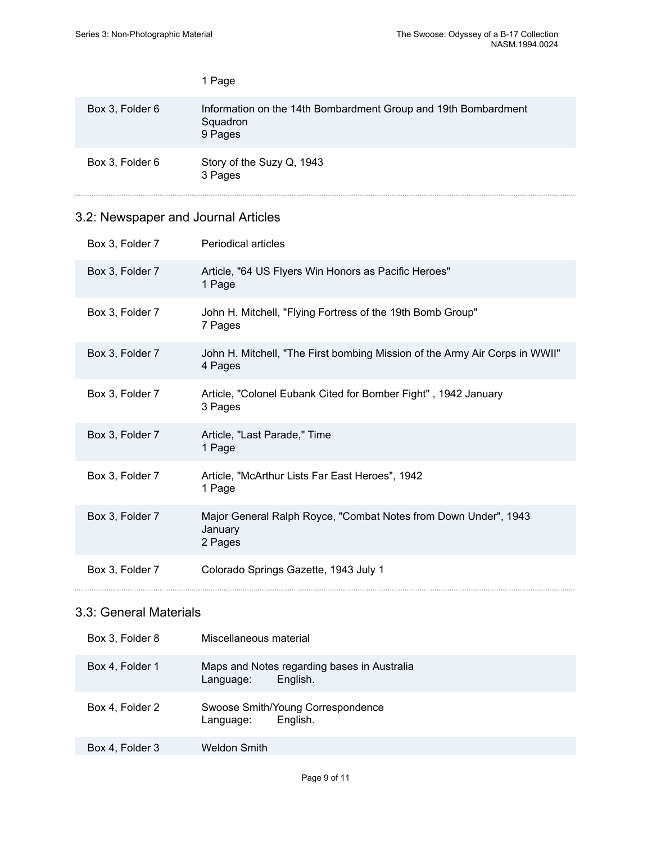|                 | 1 Page                                                                                |
|-----------------|---------------------------------------------------------------------------------------|
| Box 3, Folder 6 | Information on the 14th Bombardment Group and 19th Bombardment<br>Squadron<br>9 Pages |
| Box 3, Folder 6 | Story of the Suzy Q, 1943<br>3 Pages                                                  |

## 3.2: Newspaper and Journal Articles

| Box 3, Folder 7 | <b>Periodical articles</b>                                                             |  |  |
|-----------------|----------------------------------------------------------------------------------------|--|--|
| Box 3, Folder 7 | Article, "64 US Flyers Win Honors as Pacific Heroes"<br>1 Page                         |  |  |
| Box 3, Folder 7 | John H. Mitchell, "Flying Fortress of the 19th Bomb Group"<br>7 Pages                  |  |  |
| Box 3, Folder 7 | John H. Mitchell, "The First bombing Mission of the Army Air Corps in WWII"<br>4 Pages |  |  |
| Box 3, Folder 7 | Article, "Colonel Eubank Cited for Bomber Fight", 1942 January<br>3 Pages              |  |  |
| Box 3, Folder 7 | Article, "Last Parade," Time<br>1 Page                                                 |  |  |
| Box 3, Folder 7 | Article, "McArthur Lists Far East Heroes", 1942<br>1 Page                              |  |  |
| Box 3, Folder 7 | Major General Ralph Royce, "Combat Notes from Down Under", 1943<br>January<br>2 Pages  |  |  |
| Box 3, Folder 7 | Colorado Springs Gazette, 1943 July 1                                                  |  |  |

## 3.3: General Materials

| Box 3, Folder 8 | Miscellaneous material                                               |  |  |
|-----------------|----------------------------------------------------------------------|--|--|
| Box 4, Folder 1 | Maps and Notes regarding bases in Australia<br>English.<br>Language: |  |  |
| Box 4, Folder 2 | Swoose Smith/Young Correspondence<br>English.<br>Language:           |  |  |
| Box 4, Folder 3 | Weldon Smith                                                         |  |  |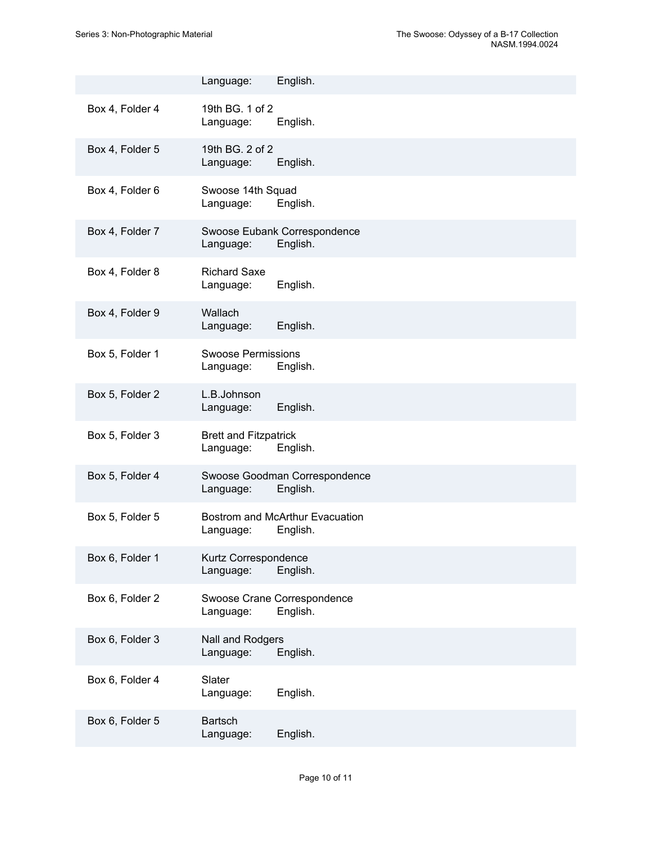|                 | Language:                                 | English.                                    |
|-----------------|-------------------------------------------|---------------------------------------------|
| Box 4, Folder 4 | 19th BG, 1 of 2<br>Language:              | English.                                    |
| Box 4, Folder 5 | 19th BG. 2 of 2<br>Language:              | English.                                    |
| Box 4, Folder 6 | Swoose 14th Squad<br>Language:            | English.                                    |
| Box 4, Folder 7 | Language:                                 | Swoose Eubank Correspondence<br>English.    |
| Box 4, Folder 8 | <b>Richard Saxe</b><br>Language:          | English.                                    |
| Box 4, Folder 9 | Wallach<br>Language:                      | English.                                    |
| Box 5, Folder 1 | <b>Swoose Permissions</b><br>Language:    | English.                                    |
| Box 5, Folder 2 | L.B.Johnson<br>Language:                  | English.                                    |
| Box 5, Folder 3 | <b>Brett and Fitzpatrick</b><br>Language: | English.                                    |
| Box 5, Folder 4 | Language:                                 | Swoose Goodman Correspondence<br>English.   |
| Box 5, Folder 5 | Language:                                 | Bostrom and McArthur Evacuation<br>English. |
| Box 6, Folder 1 | Kurtz Correspondence<br>Language:         | English.                                    |
| Box 6, Folder 2 | Language:                                 | Swoose Crane Correspondence<br>English.     |
| Box 6, Folder 3 | Nall and Rodgers<br>Language:             | English.                                    |
| Box 6, Folder 4 | Slater<br>Language:                       | English.                                    |
| Box 6, Folder 5 | <b>Bartsch</b><br>Language:               | English.                                    |